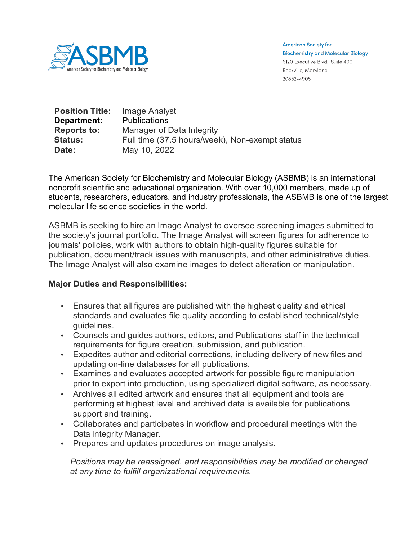

**American Society for Biochemistry and Molecular Biology** 6120 Executive Blvd., Suite 400 Rockville, Maryland 20852-4905

| <b>Position Title:</b> | Image Analyst                                  |
|------------------------|------------------------------------------------|
| Department:            | <b>Publications</b>                            |
| <b>Reports to:</b>     | Manager of Data Integrity                      |
| <b>Status:</b>         | Full time (37.5 hours/week), Non-exempt status |
| Date:                  | May 10, 2022                                   |

The American Society for Biochemistry and Molecular Biology (ASBMB) is an international nonprofit scientific and educational organization. With over 10,000 members, made up of students, researchers, educators, and industry professionals, the ASBMB is one of the largest molecular life science societies in the world.

ASBMB is seeking to hire an Image Analyst to oversee screening images submitted to the society's journal portfolio. The Image Analyst will screen figures for adherence to journals' policies, work with authors to obtain high-quality figures suitable for publication, document/track issues with manuscripts, and other administrative duties. The Image Analyst will also examine images to detect alteration or manipulation.

## **Major Duties and Responsibilities:**

- Ensures that all figures are published with the highest quality and ethical standards and evaluates file quality according to established technical/style guidelines.
- Counsels and guides authors, editors, and Publications staff in the technical requirements for figure creation, submission, and publication.
- Expedites author and editorial corrections, including delivery of new files and updating on-line databases for all publications.
- Examines and evaluates accepted artwork for possible figure manipulation prior to export into production, using specialized digital software, as necessary.
- Archives all edited artwork and ensures that all equipment and tools are performing at highest level and archived data is available for publications support and training.
- Collaborates and participates in workflow and procedural meetings with the Data Integrity Manager.
- Prepares and updates procedures on image analysis.

*Positions may be reassigned, and responsibilities may be modified or changed at any time to fulfill organizational requirements.*